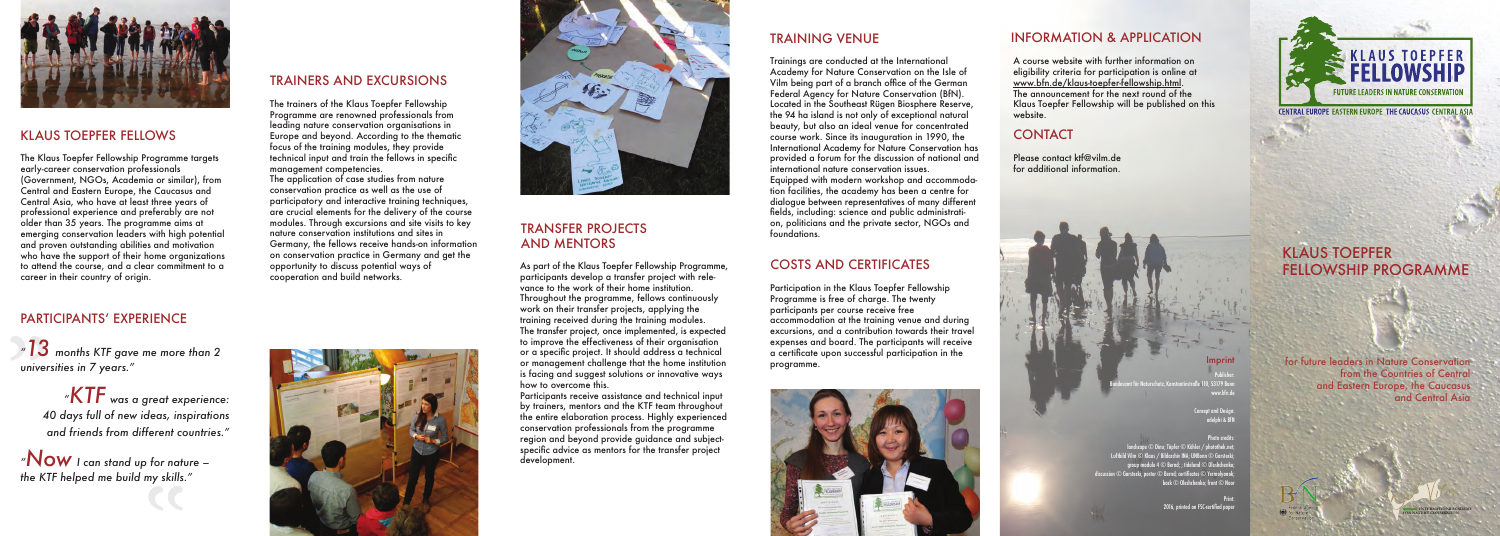# KLAUS TOEPFER FELLOWSHIP PROGRAMME

for future leaders in Nature Conservation from the Countries of Central and Eastern Europe, the Caucasus and Central Asia

> **INTERNATIONAL ACADEMY FOR NATURE CONSERATION**





# klAUS ToEPFER FElloWS

The Klaus Toepfer Fellowship Programme targets early-career conservation professionals (Government, NGos, Academia or similar), from Central and Eastern Europe, the Caucasus and Central Asia, who have at least three years of professional experience and preferably are not older than 35 years. The programme aims at emerging conservation leaders with high potential and proven outstanding abilities and motivation who have the support of their home organizations to attend the course, and a clear commitment to a career in their country of origin.

 $\mathbb{M}$ OW I can stand up for nature – *the KTF helped me build my skills."* 





# PARTICIPANTS' EXPERIENCE

"*"13 months KTF gave me more than 2 universities in 7 years."* 

The application of case studies from nature conservation practice as well as the use of participatory and interactive training techniques. are crucial elements for the delivery of the course modules. Through excursions and site visits to key nature conservation institutions and sites in Germany, the fellows receive hands-on information on conservation practice in Germany and get the opportunity to discuss potential ways of cooperation and build networks.

*"KTF was a great experience: 40 days full of new ideas, inspirations and friends from different countries."* 

 $\mathbf{c}$ 

# TRAINERS AND EXCURSIoNS

The trainers of the Klaus Toepfer Fellowship Programme are renowned professionals from leading nature conservation organisations in Europe and beyond. According to the thematic focus of the training modules, they provide technical input and train the fellows in specific management competencies.

> Equipped with modern workshop and accommodation facilities, the academy has been a centre for dialogue between representatives of many different fields, including: science and public administration, politicians and the private sector, NGOs and

# TRANSFER PRojECTS AND MENToRS

As part of the Klaus Toepfer Fellowship Programme, participants develop a transfer project with relevance to the work of their home institution. Throughout the programme, fellows continuously work on their transfer projects, applying the training received during the training modules. The transfer project, once implemented, is expected to improve the effectiveness of their organisation or a specific project. It should address a technical or management challenge that the home institution is facing and suggest solutions or innovative ways how to overcome this.

> .<br>Concept and Desigr adelphi & BfN

 $\overline{\mathrm{m}}$ dscape  $\overline{\mathbb{O}}$  Dinu; Töpfer  $\overline{\mathbb{O}}$  Köhler / photothek.net; Luftbild Vilm © Klaus / Bildarchiv INA; UNBonn © Garstecki; group module 4 © Bernd; ; tideland © Oleshchenko; discussion © Garstecki; poster © Bernd; certificates © Yermolyonok; back © Oleshchenko; front © Noor

Participants receive assistance and technical input by trainers, mentors and the KTF team throughout the entire elaboration process. Highly experienced conservation professionals from the programme region and beyond provide guidance and subjectspecific advice as mentors for the transfer project development.

# TRAINING VENUE

Trainings are conducted at the International Academy for Nature Conservation on the Isle of Vilm being part of a branch office of the German Federal Agency for Nature Conservation (BfN). Located in the Southeast Rügen Biosphere Reserve the 94 ha island is not only of exceptional natural beauty, but also an ideal venue for concentrated course work. Since its inauguration in 1990, the International Academy for Nature Conservation has provided a forum for the discussion of national and international nature conservation issues.

foundations.

# CoSTS AND CERTIFICATES

Participation in the Klaus Toepfer Fellowship Programme is free of charge. The twenty participants per course receive free accommodation at the training venue and during excursions, and a contribution towards their travel expenses and board. The participants will receive a certificate upon successful participation in the programme.



# INFoRMATIoN & APPlICATIoN

A course website with further information on eligibility criteria for participation is online at www.bfn.de/klaus-toepfer-fellowship.html The announcement for the next round of the Klaus Toepfer Fellowship will be published on this website.

# **CONTACT**

Please contact ktf@vilm.de for additional information.



# Imprint

Publisher: Be 110, 53179 Bonn www.bfn.de

### Photo credits:

Print: 2016, printed on FSC-certified paper



**CENTRAL EUROPE EASTERN EUROPE THE CAUCASUS CENTRAL ASL**